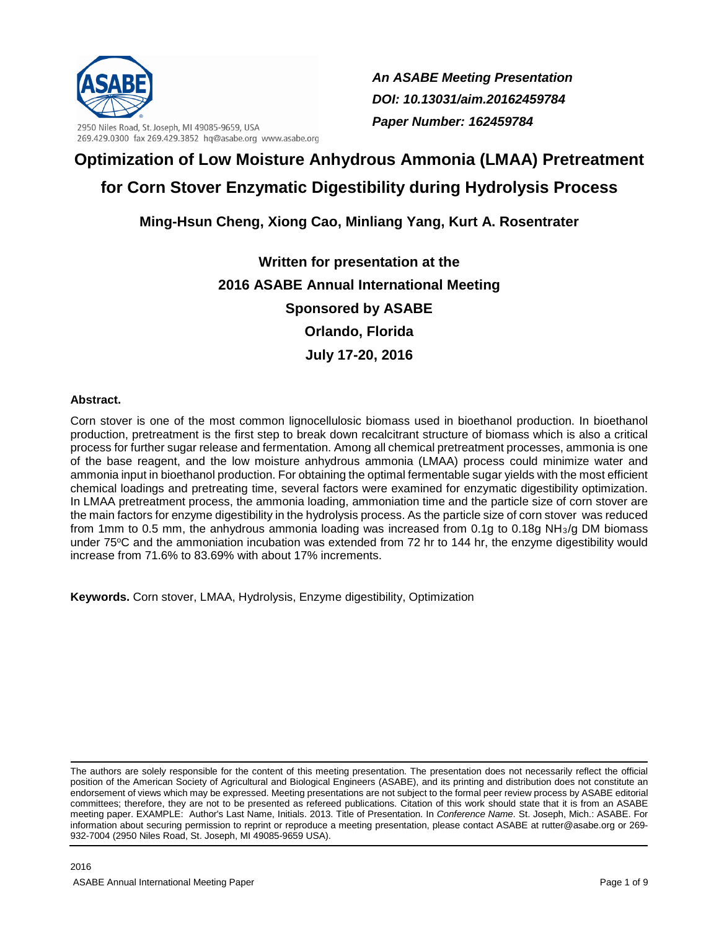

2950 Niles Road, St. Joseph, MI 49085-9659, USA 269.429.0300 fax 269.429.3852 hq@asabe.org www.asabe.org *An ASABE Meeting Presentation DOI: 10.13031/aim.20162459784 Paper Number: 162459784*

# **Optimization of Low Moisture Anhydrous Ammonia (LMAA) Pretreatment for Corn Stover Enzymatic Digestibility during Hydrolysis Process**

# **Ming-Hsun Cheng, Xiong Cao, Minliang Yang, Kurt A. Rosentrater**

**Written for presentation at the 2016 ASABE Annual International Meeting Sponsored by ASABE Orlando, Florida July 17-20, 2016**

# **Abstract.**

Corn stover is one of the most common lignocellulosic biomass used in bioethanol production. In bioethanol production, pretreatment is the first step to break down recalcitrant structure of biomass which is also a critical process for further sugar release and fermentation. Among all chemical pretreatment processes, ammonia is one of the base reagent, and the low moisture anhydrous ammonia (LMAA) process could minimize water and ammonia input in bioethanol production. For obtaining the optimal fermentable sugar yields with the most efficient chemical loadings and pretreating time, several factors were examined for enzymatic digestibility optimization. In LMAA pretreatment process, the ammonia loading, ammoniation time and the particle size of corn stover are the main factors for enzyme digestibility in the hydrolysis process. As the particle size of corn stover was reduced from 1mm to 0.5 mm, the anhydrous ammonia loading was increased from 0.1g to 0.18g NH3/g DM biomass under 75°C and the ammoniation incubation was extended from 72 hr to 144 hr, the enzyme digestibility would increase from 71.6% to 83.69% with about 17% increments.

**Keywords.** Corn stover, LMAA, Hydrolysis, Enzyme digestibility, Optimization

The authors are solely responsible for the content of this meeting presentation. The presentation does not necessarily reflect the official position of the American Society of Agricultural and Biological Engineers (ASABE), and its printing and distribution does not constitute an endorsement of views which may be expressed. Meeting presentations are not subject to the formal peer review process by ASABE editorial committees; therefore, they are not to be presented as refereed publications. Citation of this work should state that it is from an ASABE meeting paper. EXAMPLE: Author's Last Name, Initials. 2013. Title of Presentation. In *Conference Name*. St. Joseph, Mich.: ASABE. For information about securing permission to reprint or reproduce a meeting presentation, please contact ASABE at rutter@asabe.org or 269- 932-7004 (2950 Niles Road, St. Joseph, MI 49085-9659 USA).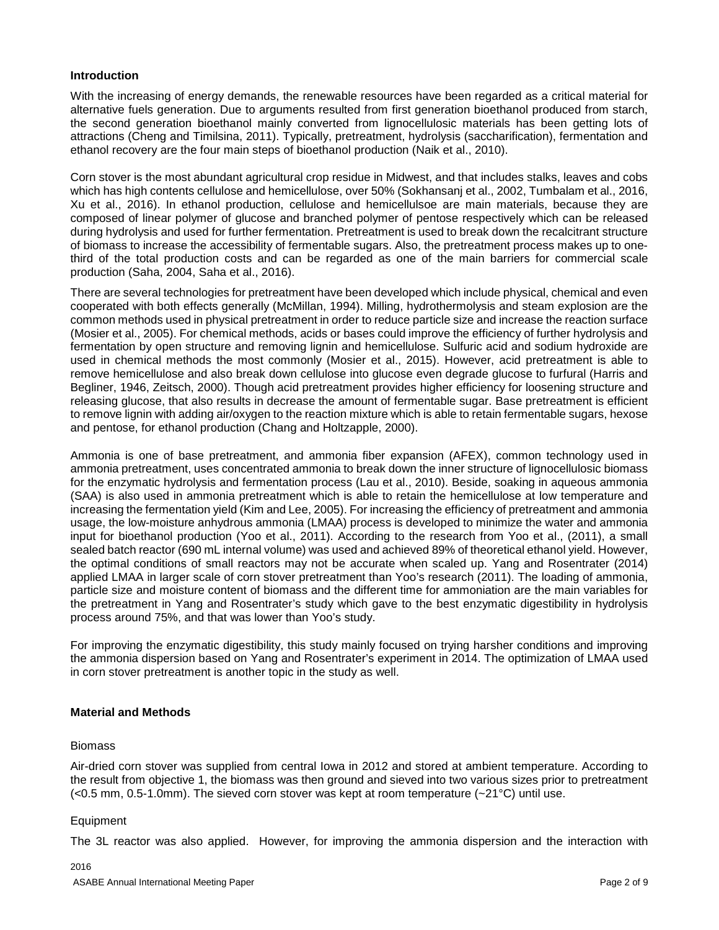#### **Introduction**

With the increasing of energy demands, the renewable resources have been regarded as a critical material for alternative fuels generation. Due to arguments resulted from first generation bioethanol produced from starch, the second generation bioethanol mainly converted from lignocellulosic materials has been getting lots of attractions (Cheng and Timilsina, 2011). Typically, pretreatment, hydrolysis (saccharification), fermentation and ethanol recovery are the four main steps of bioethanol production (Naik et al., 2010).

Corn stover is the most abundant agricultural crop residue in Midwest, and that includes stalks, leaves and cobs which has high contents cellulose and hemicellulose, over 50% (Sokhansanj et al., 2002, Tumbalam et al., 2016, Xu et al., 2016). In ethanol production, cellulose and hemicellulsoe are main materials, because they are composed of linear polymer of glucose and branched polymer of pentose respectively which can be released during hydrolysis and used for further fermentation. Pretreatment is used to break down the recalcitrant structure of biomass to increase the accessibility of fermentable sugars. Also, the pretreatment process makes up to onethird of the total production costs and can be regarded as one of the main barriers for commercial scale production (Saha, 2004, Saha et al., 2016).

There are several technologies for pretreatment have been developed which include physical, chemical and even cooperated with both effects generally (McMillan, 1994). Milling, hydrothermolysis and steam explosion are the common methods used in physical pretreatment in order to reduce particle size and increase the reaction surface (Mosier et al., 2005). For chemical methods, acids or bases could improve the efficiency of further hydrolysis and fermentation by open structure and removing lignin and hemicellulose. Sulfuric acid and sodium hydroxide are used in chemical methods the most commonly (Mosier et al., 2015). However, acid pretreatment is able to remove hemicellulose and also break down cellulose into glucose even degrade glucose to furfural (Harris and Begliner, 1946, Zeitsch, 2000). Though acid pretreatment provides higher efficiency for loosening structure and releasing glucose, that also results in decrease the amount of fermentable sugar. Base pretreatment is efficient to remove lignin with adding air/oxygen to the reaction mixture which is able to retain fermentable sugars, hexose and pentose, for ethanol production (Chang and Holtzapple, 2000).

Ammonia is one of base pretreatment, and ammonia fiber expansion (AFEX), common technology used in ammonia pretreatment, uses concentrated ammonia to break down the inner structure of lignocellulosic biomass for the enzymatic hydrolysis and fermentation process (Lau et al., 2010). Beside, soaking in aqueous ammonia (SAA) is also used in ammonia pretreatment which is able to retain the hemicellulose at low temperature and increasing the fermentation yield (Kim and Lee, 2005). For increasing the efficiency of pretreatment and ammonia usage, the low-moisture anhydrous ammonia (LMAA) process is developed to minimize the water and ammonia input for bioethanol production (Yoo et al., 2011). According to the research from Yoo et al., (2011), a small sealed batch reactor (690 mL internal volume) was used and achieved 89% of theoretical ethanol yield. However, the optimal conditions of small reactors may not be accurate when scaled up. Yang and Rosentrater (2014) applied LMAA in larger scale of corn stover pretreatment than Yoo's research (2011). The loading of ammonia, particle size and moisture content of biomass and the different time for ammoniation are the main variables for the pretreatment in Yang and Rosentrater's study which gave to the best enzymatic digestibility in hydrolysis process around 75%, and that was lower than Yoo's study.

For improving the enzymatic digestibility, this study mainly focused on trying harsher conditions and improving the ammonia dispersion based on Yang and Rosentrater's experiment in 2014. The optimization of LMAA used in corn stover pretreatment is another topic in the study as well.

#### **Material and Methods**

#### Biomass

Air-dried corn stover was supplied from central Iowa in 2012 and stored at ambient temperature. According to the result from objective 1, the biomass was then ground and sieved into two various sizes prior to pretreatment  $\left($  <0.5 mm, 0.5-1.0mm). The sieved corn stover was kept at room temperature ( $\sim$ 21°C) until use.

#### Equipment

The 3L reactor was also applied. However, for improving the ammonia dispersion and the interaction with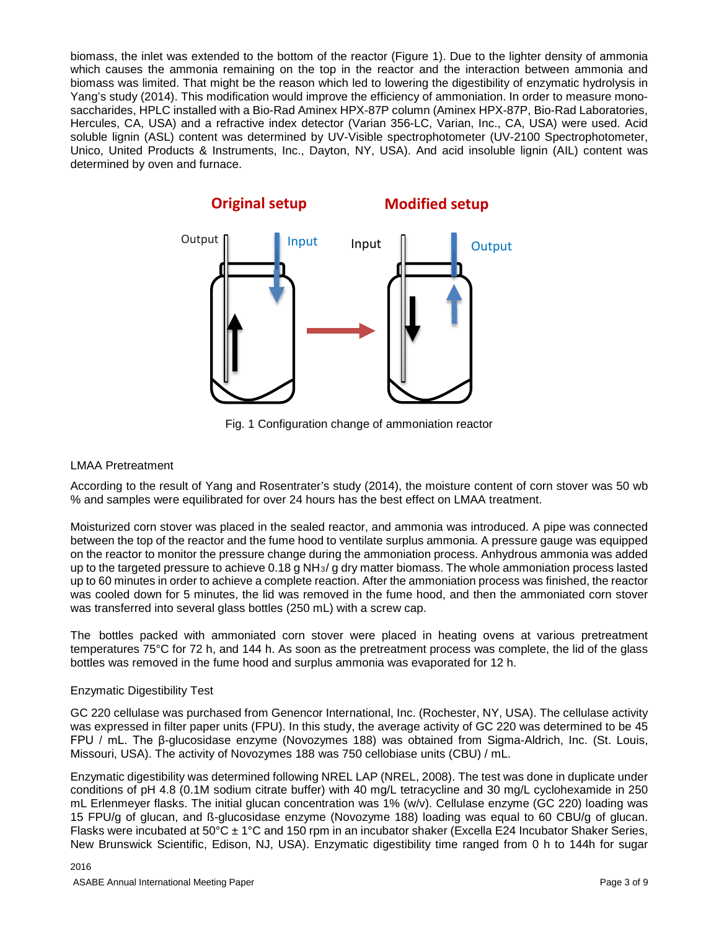biomass, the inlet was extended to the bottom of the reactor (Figure 1). Due to the lighter density of ammonia which causes the ammonia remaining on the top in the reactor and the interaction between ammonia and biomass was limited. That might be the reason which led to lowering the digestibility of enzymatic hydrolysis in Yang's study (2014). This modification would improve the efficiency of ammoniation. In order to measure monosaccharides, HPLC installed with a Bio-Rad Aminex HPX-87P column (Aminex HPX-87P, Bio-Rad Laboratories, Hercules, CA, USA) and a refractive index detector (Varian 356-LC, Varian, Inc., CA, USA) were used. Acid soluble lignin (ASL) content was determined by UV-Visible spectrophotometer (UV-2100 Spectrophotometer, Unico, United Products & Instruments, Inc., Dayton, NY, USA). And acid insoluble lignin (AIL) content was determined by oven and furnace.



Fig. 1 Configuration change of ammoniation reactor

# LMAA Pretreatment

According to the result of Yang and Rosentrater's study (2014), the moisture content of corn stover was 50 wb % and samples were equilibrated for over 24 hours has the best effect on LMAA treatment.

Moisturized corn stover was placed in the sealed reactor, and ammonia was introduced. A pipe was connected between the top of the reactor and the fume hood to ventilate surplus ammonia. A pressure gauge was equipped on the reactor to monitor the pressure change during the ammoniation process. Anhydrous ammonia was added up to the targeted pressure to achieve  $0.18$  g NH $_3$ / g dry matter biomass. The whole ammoniation process lasted up to 60 minutes in order to achieve a complete reaction. After the ammoniation process was finished, the reactor was cooled down for 5 minutes, the lid was removed in the fume hood, and then the ammoniated corn stover was transferred into several glass bottles (250 mL) with a screw cap.

The bottles packed with ammoniated corn stover were placed in heating ovens at various pretreatment temperatures 75°C for 72 h, and 144 h. As soon as the pretreatment process was complete, the lid of the glass bottles was removed in the fume hood and surplus ammonia was evaporated for 12 h.

#### Enzymatic Digestibility Test

GC 220 cellulase was purchased from Genencor International, Inc. (Rochester, NY, USA). The cellulase activity was expressed in filter paper units (FPU). In this study, the average activity of GC 220 was determined to be 45 FPU / mL. The β-glucosidase enzyme (Novozymes 188) was obtained from Sigma-Aldrich, Inc. (St. Louis, Missouri, USA). The activity of Novozymes 188 was 750 cellobiase units (CBU) / mL.

Enzymatic digestibility was determined following NREL LAP (NREL, 2008). The test was done in duplicate under conditions of pH 4.8 (0.1M sodium citrate buffer) with 40 mg/L tetracycline and 30 mg/L cyclohexamide in 250 mL Erlenmeyer flasks. The initial glucan concentration was 1% (w/v). Cellulase enzyme (GC 220) loading was 15 FPU/g of glucan, and ß-glucosidase enzyme (Novozyme 188) loading was equal to 60 CBU/g of glucan. Flasks were incubated at 50°C ± 1°C and 150 rpm in an incubator shaker (Excella E24 Incubator Shaker Series, New Brunswick Scientific, Edison, NJ, USA). Enzymatic digestibility time ranged from 0 h to 144h for sugar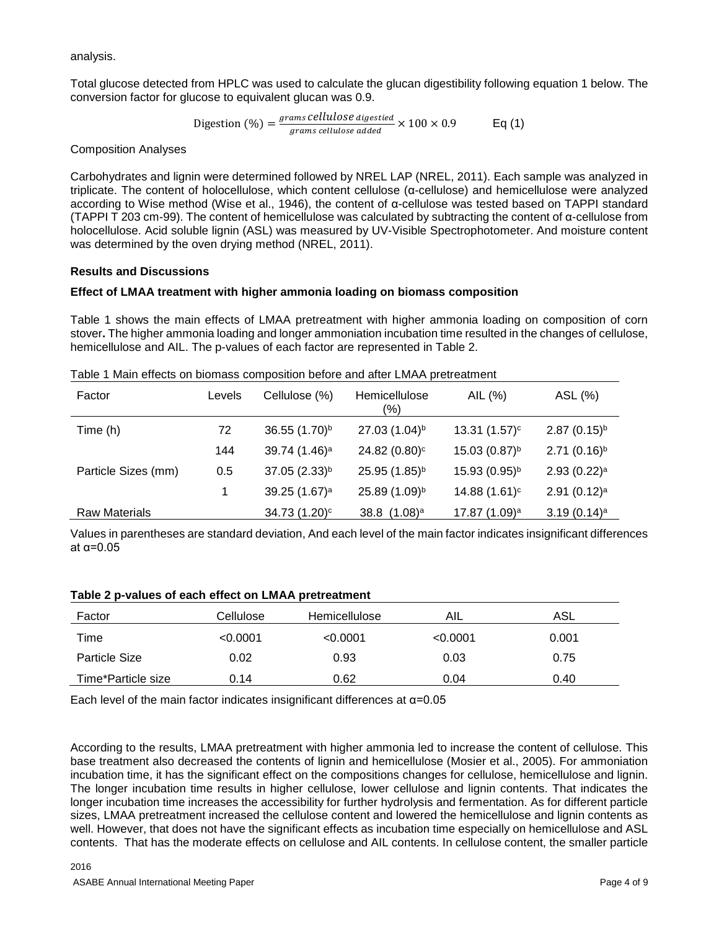analysis.

Total glucose detected from HPLC was used to calculate the glucan digestibility following equation 1 below. The conversion factor for glucose to equivalent glucan was 0.9.

$$
\text{Digestion } (\%) = \frac{\text{grams cellulose digested}}{\text{grams cellulose added}} \times 100 \times 0.9 \qquad \text{Eq (1)}
$$

Composition Analyses

Carbohydrates and lignin were determined followed by NREL LAP (NREL, 2011). Each sample was analyzed in triplicate. The content of holocellulose, which content cellulose (α-cellulose) and hemicellulose were analyzed according to Wise method (Wise et al., 1946), the content of α-cellulose was tested based on TAPPI standard (TAPPI T 203 cm-99). The content of hemicellulose was calculated by subtracting the content of α-cellulose from holocellulose. Acid soluble lignin (ASL) was measured by UV-Visible Spectrophotometer. And moisture content was determined by the oven drying method (NREL, 2011).

# **Results and Discussions**

# **Effect of LMAA treatment with higher ammonia loading on biomass composition**

Table 1 shows the main effects of LMAA pretreatment with higher ammonia loading on composition of corn stover**.** The higher ammonia loading and longer ammoniation incubation time resulted in the changes of cellulose, hemicellulose and AIL. The p-values of each factor are represented in Table 2.

| Factor               | Levels | Cellulose (%)             | Hemicellulose<br>(%)      | AIL (%)                   | ASL (%)                    |
|----------------------|--------|---------------------------|---------------------------|---------------------------|----------------------------|
| Time (h)             | 72     | 36.55 (1.70) <sup>b</sup> | 27.03 (1.04) <sup>b</sup> | 13.31 $(1.57)^c$          | $2.87(0.15)^{b}$           |
|                      | 144    | 39.74 (1.46) <sup>a</sup> | 24.82 (0.80) <sup>c</sup> | $15.03(0.87)^{b}$         | $2.71(0.16)^{b}$           |
| Particle Sizes (mm)  | 0.5    | 37.05 (2.33) <sup>b</sup> | 25.95 (1.85) <sup>b</sup> | 15.93 (0.95) <sup>b</sup> | $2.93(0.22)^a$             |
|                      |        | 39.25 (1.67) <sup>a</sup> | 25.89 (1.09)b             | 14.88 (1.61) <sup>c</sup> | $2.91(0.12)^a$             |
| <b>Raw Materials</b> |        | 34.73 (1.20) <sup>c</sup> | 38.8 $(1.08)^a$           | 17.87 (1.09) <sup>a</sup> | 3.19 $(0.14)$ <sup>a</sup> |

Table 1 Main effects on biomass composition before and after LMAA pretreatment

Values in parentheses are standard deviation, And each level of the main factor indicates insignificant differences at α=0.05

#### **Table 2 p-values of each effect on LMAA pretreatment**

| Factor               | Cellulose | <b>Hemicellulose</b> | AIL      | ASL   |
|----------------------|-----------|----------------------|----------|-------|
| Time                 | < 0.0001  | < 0.0001             | < 0.0001 | 0.001 |
| <b>Particle Size</b> | 0.02      | 0.93                 | 0.03     | 0.75  |
| Time*Particle size   | 0.14      | 0.62                 | 0.04     | 0.40  |

Each level of the main factor indicates insignificant differences at  $\alpha$ =0.05

According to the results, LMAA pretreatment with higher ammonia led to increase the content of cellulose. This base treatment also decreased the contents of lignin and hemicellulose (Mosier et al., 2005). For ammoniation incubation time, it has the significant effect on the compositions changes for cellulose, hemicellulose and lignin. The longer incubation time results in higher cellulose, lower cellulose and lignin contents. That indicates the longer incubation time increases the accessibility for further hydrolysis and fermentation. As for different particle sizes, LMAA pretreatment increased the cellulose content and lowered the hemicellulose and lignin contents as well. However, that does not have the significant effects as incubation time especially on hemicellulose and ASL contents. That has the moderate effects on cellulose and AIL contents. In cellulose content, the smaller particle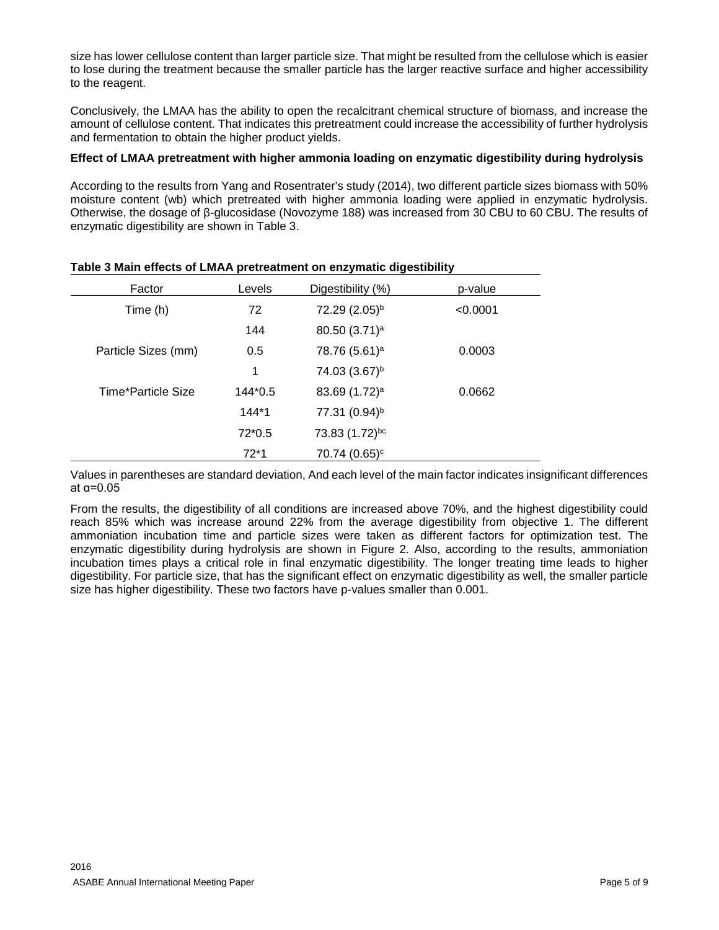size has lower cellulose content than larger particle size. That might be resulted from the cellulose which is easier to lose during the treatment because the smaller particle has the larger reactive surface and higher accessibility to the reagent.

Conclusively, the LMAA has the ability to open the recalcitrant chemical structure of biomass, and increase the amount of cellulose content. That indicates this pretreatment could increase the accessibility of further hydrolysis and fermentation to obtain the higher product yields.

# **Effect of LMAA pretreatment with higher ammonia loading on enzymatic digestibility during hydrolysis**

According to the results from Yang and Rosentrater's study (2014), two different particle sizes biomass with 50% moisture content (wb) which pretreated with higher ammonia loading were applied in enzymatic hydrolysis. Otherwise, the dosage of β-glucosidase (Novozyme 188) was increased from 30 CBU to 60 CBU. The results of enzymatic digestibility are shown in Table 3.

| Factor              | Levels   | Digestibility (%)         | p-value  |
|---------------------|----------|---------------------------|----------|
| Time (h)            | 72       | 72.29 (2.05) <sup>b</sup> | < 0.0001 |
|                     | 144      | 80.50 (3.71) <sup>a</sup> |          |
| Particle Sizes (mm) | 0.5      | 78.76 (5.61) <sup>a</sup> | 0.0003   |
|                     | 1        | 74.03 (3.67) <sup>b</sup> |          |
| Time*Particle Size  | 144*0.5  | 83.69 (1.72) <sup>a</sup> | 0.0662   |
|                     | $144*1$  | 77.31 (0.94) <sup>b</sup> |          |
|                     | $72*0.5$ | 73.83 (1.72)bc            |          |
|                     | $72*1$   | $70.74~(0.65)^c$          |          |

#### **Table 3 Main effects of LMAA pretreatment on enzymatic digestibility**

Values in parentheses are standard deviation, And each level of the main factor indicates insignificant differences at α=0.05

From the results, the digestibility of all conditions are increased above 70%, and the highest digestibility could reach 85% which was increase around 22% from the average digestibility from objective 1. The different ammoniation incubation time and particle sizes were taken as different factors for optimization test. The enzymatic digestibility during hydrolysis are shown in Figure 2. Also, according to the results, ammoniation incubation times plays a critical role in final enzymatic digestibility. The longer treating time leads to higher digestibility. For particle size, that has the significant effect on enzymatic digestibility as well, the smaller particle size has higher digestibility. These two factors have p-values smaller than 0.001.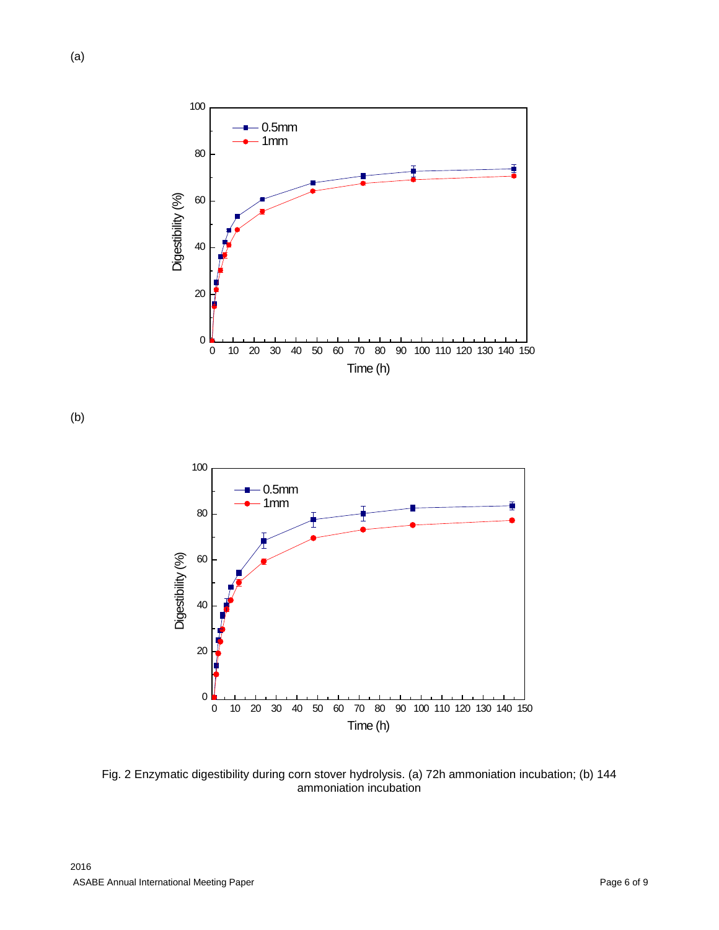

(a)



(b)



Fig. 2 Enzymatic digestibility during corn stover hydrolysis. (a) 72h ammoniation incubation; (b) 144 ammoniation incubation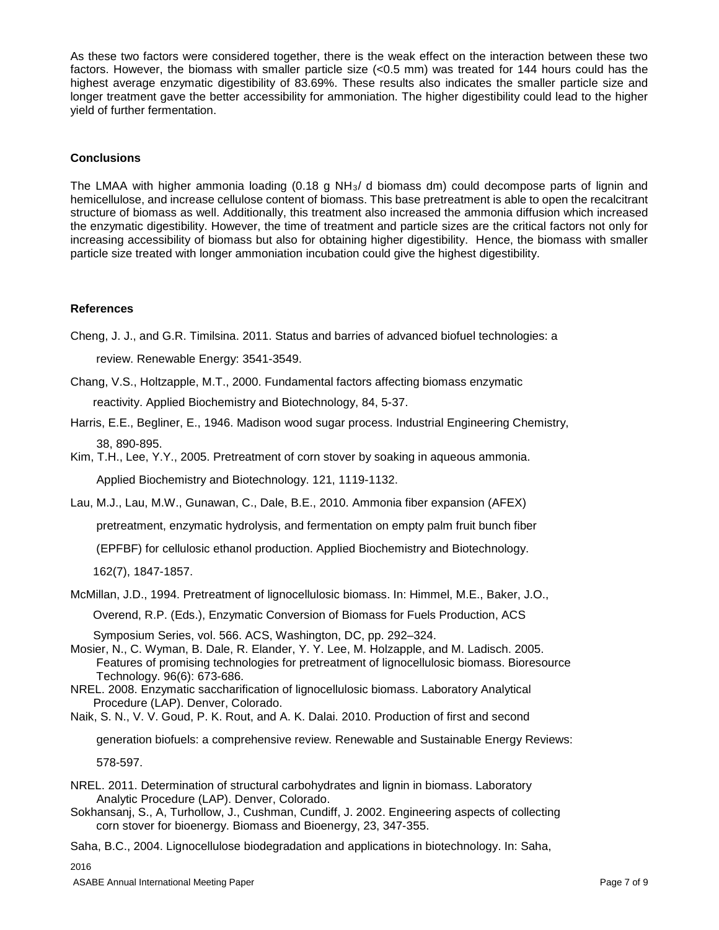As these two factors were considered together, there is the weak effect on the interaction between these two factors. However, the biomass with smaller particle size (<0.5 mm) was treated for 144 hours could has the highest average enzymatic digestibility of 83.69%. These results also indicates the smaller particle size and longer treatment gave the better accessibility for ammoniation. The higher digestibility could lead to the higher yield of further fermentation.

# **Conclusions**

The LMAA with higher ammonia loading  $(0.18 \text{ g NH}_3/d)$  biomass dm) could decompose parts of lignin and hemicellulose, and increase cellulose content of biomass. This base pretreatment is able to open the recalcitrant structure of biomass as well. Additionally, this treatment also increased the ammonia diffusion which increased the enzymatic digestibility. However, the time of treatment and particle sizes are the critical factors not only for increasing accessibility of biomass but also for obtaining higher digestibility. Hence, the biomass with smaller particle size treated with longer ammoniation incubation could give the highest digestibility.

#### **References**

Cheng, J. J., and G.R. Timilsina. 2011. Status and barries of advanced biofuel technologies: a

review. Renewable Energy: 3541-3549.

Chang, V.S., Holtzapple, M.T., 2000. Fundamental factors affecting biomass enzymatic reactivity. Applied Biochemistry and Biotechnology, 84, 5-37.

- Harris, E.E., Begliner, E., 1946. Madison wood sugar process. Industrial Engineering Chemistry, 38, 890-895.
- Kim, T.H., Lee, Y.Y., 2005. Pretreatment of corn stover by soaking in aqueous ammonia.

Applied Biochemistry and Biotechnology. 121, 1119-1132.

Lau, M.J., Lau, M.W., Gunawan, C., Dale, B.E., 2010. Ammonia fiber expansion (AFEX)

pretreatment, enzymatic hydrolysis, and fermentation on empty palm fruit bunch fiber

(EPFBF) for cellulosic ethanol production. Applied Biochemistry and Biotechnology.

162(7), 1847-1857.

McMillan, J.D., 1994. Pretreatment of lignocellulosic biomass. In: Himmel, M.E., Baker, J.O.,

Overend, R.P. (Eds.), Enzymatic Conversion of Biomass for Fuels Production, ACS

Symposium Series, vol. 566. ACS, Washington, DC, pp. 292–324.

- Mosier, N., C. Wyman, B. Dale, R. Elander, Y. Y. Lee, M. Holzapple, and M. Ladisch. 2005. Features of promising technologies for pretreatment of lignocellulosic biomass. Bioresource Technology. 96(6): 673-686.
- NREL. 2008. Enzymatic saccharification of lignocellulosic biomass. Laboratory Analytical Procedure (LAP). Denver, Colorado.

Naik, S. N., V. V. Goud, P. K. Rout, and A. K. Dalai. 2010. Production of first and second

generation biofuels: a comprehensive review. Renewable and Sustainable Energy Reviews:

578-597.

- NREL. 2011. Determination of structural carbohydrates and lignin in biomass. Laboratory Analytic Procedure (LAP). Denver, Colorado.
- Sokhansanj, S., A, Turhollow, J., Cushman, Cundiff, J. 2002. Engineering aspects of collecting corn stover for bioenergy. Biomass and Bioenergy, 23, 347-355.

Saha, B.C., 2004. Lignocellulose biodegradation and applications in biotechnology. In: Saha,

2016